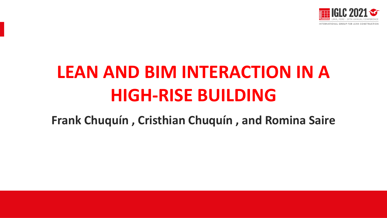

# **LEAN AND BIM INTERACTION IN A HIGH-RISE BUILDING**

**Frank Chuquín , Cristhian Chuquín , and Romina Saire**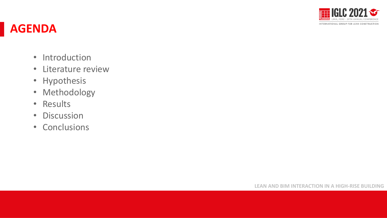

### **AGENDA**

- Introduction
- Literature review
- Hypothesis
- Methodology
- Results
- Discussion
- Conclusions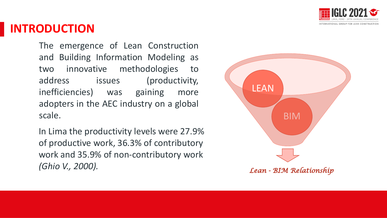

### **INTRODUCTION**

The emergence of Lean Construction and Building Information Modeling as two innovative methodologies to address issues (productivity, inefficiencies) was gaining more adopters in the AEC industry on a global scale.

In Lima the productivity levels were 27.9% of productive work, 36.3% of contributory work and 35.9% of non-contributory work *(Ghio V., 2000).* 

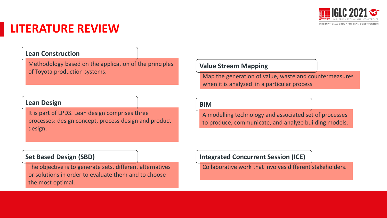

## **LITERATURE REVIEW**

#### **Lean Construction**

Methodology based on the application of the principles of Toyota production systems.

#### **Lean Design**

It is part of LPDS. Lean design comprises three processes: design concept, process design and product design.

#### **Value Stream Mapping**

Map the generation of value, waste and countermeasures when it is analyzed in a particular process

#### **BIM**

A modelling technology and associated set of processes to produce, communicate, and analyze building models.

#### **Set Based Design (SBD)**

The objective is to generate sets, different alternatives or solutions in order to evaluate them and to choose the most optimal.

#### **Integrated Concurrent Session (ICE)**

Collaborative work that involves different stakeholders.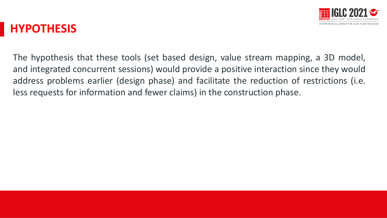

### **HYPOTHESIS**

The hypothesis that these tools (set based design, value stream mapping, a 3D model, and integrated concurrent sessions) would provide a positive interaction since they would address problems earlier (design phase) and facilitate the reduction of restrictions (i.e. less requests for information and fewer claims) in the construction phase.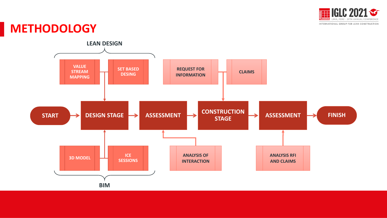

#### **METHODOLOGY**

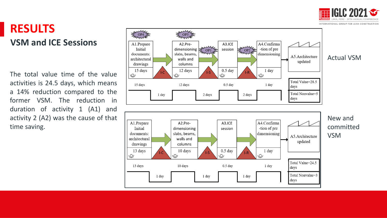

#### INTERNATIONAL GROUP FOR LEAN CONSTRUCTION

#### **RESULTS VSM and ICE Sessions**

The total value time of the value activities is 24 . 5 days, which means a 14 % reduction compared to the former VSM . The reduction in duration of activity 1 (A 1 ) and activity 2 (A 2 ) was the cause of that time saving .

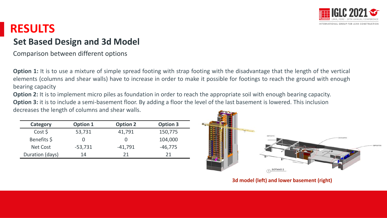

### **RESULTS**

#### **Set Based Design and 3d Model**

Comparison between different options

**Option 1:** It is to use a mixture of simple spread footing with strap footing with the disadvantage that the length of the vertical elements (columns and shear walls) have to increase in order to make it possible for footings to reach the ground with enough bearing capacity

**Option 2:** It is to implement micro piles as foundation in order to reach the appropriate soil with enough bearing capacity. **Option 3:** it is to include a semi-basement floor. By adding a floor the level of the last basement is lowered. This inclusion decreases the length of columns and shear walls.

| Category        | <b>Option 1</b> | <b>Option 2</b> | <b>Option 3</b> |
|-----------------|-----------------|-----------------|-----------------|
| Cost \$         | 53,731          | 41,791          | 150,775         |
| Benefits \$     |                 |                 | 104,000         |
| Net Cost        | $-53,731$       | $-41,791$       | $-46,775$       |
| Duration (days) | 14              | つ1              | 21              |



**3d model (left) and lower basement (right)**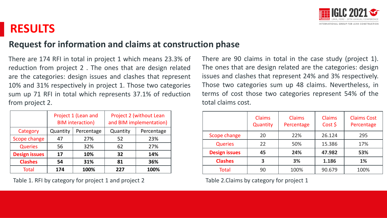

### **RESULTS**

#### **Request for information and claims at construction phase**

There are 174 RFI in total in project 1 which means 23.3% of reduction from project 2 . The ones that are design related are the categories: design issues and clashes that represent 10% and 31% respectively in project 1. Those two categories sum up 71 RFI in total which represents 37.1% of reduction from project 2.

|                      | Project 1 (Lean and<br><b>BIM</b> interaction) |            | Project 2 (without Lean<br>and BIM implementation) |            |
|----------------------|------------------------------------------------|------------|----------------------------------------------------|------------|
| Category             | Quantity                                       | Percentage | Quantity                                           | Percentage |
| Scope change         | 47                                             | 27%        | 52                                                 | 23%        |
| <b>Queries</b>       | 56                                             | 32%        | 62                                                 | 27%        |
| <b>Design issues</b> | 17                                             | 10%        | 32                                                 | 14%        |
| <b>Clashes</b>       | 54                                             | 31%        | 81                                                 | 36%        |
| <b>Total</b>         | 174                                            | 100%       | 227                                                | 100%       |

Table 1. RFI by category for project 1 and project 2 Table 2. Claims by category for project 1

There are 90 claims in total in the case study (project 1). The ones that are design related are the categories: design issues and clashes that represent 24% and 3% respectively. Those two categories sum up 48 claims. Nevertheless, in terms of cost those two categories represent 54% of the total claims cost.

|                      | <b>Claims</b><br>Quantity | <b>Claims</b><br>Percentage | <b>Claims</b><br>$Cost$ \$ | <b>Claims Cost</b><br>Percentage |
|----------------------|---------------------------|-----------------------------|----------------------------|----------------------------------|
| Scope change         | 20                        | 22%                         | 26.124                     | 295                              |
| <b>Queries</b>       | 22                        | 50%                         | 15.386                     | 17%                              |
| <b>Design issues</b> | 45                        | 24%                         | 47.982                     | 53%                              |
| <b>Clashes</b>       | 3                         | 3%                          | 1.186                      | 1%                               |
| <b>Total</b>         | 90                        | 100%                        | 90.679                     | 100%                             |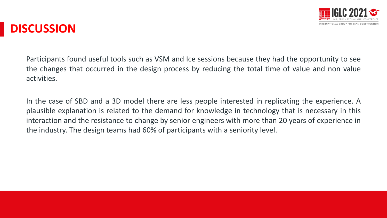

### **DISCUSSION**

Participants found useful tools such as VSM and Ice sessions because they had the opportunity to see the changes that occurred in the design process by reducing the total time of value and non value activities.

In the case of SBD and a 3D model there are less people interested in replicating the experience. A plausible explanation is related to the demand for knowledge in technology that is necessary in this interaction and the resistance to change by senior engineers with more than 20 years of experience in the industry. The design teams had 60% of participants with a seniority level.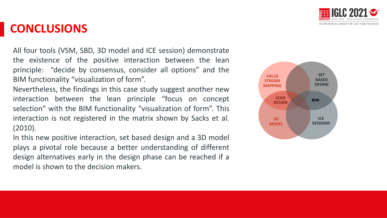

### **CONCLUSIONS**

All four tools (VSM, SBD, 3D model and ICE session) demonstrate the existence of the positive interaction between the lean principle: "decide by consensus, consider all options" and the BIM functionality "visualization of form".

Nevertheless, the findings in this case study suggest another new interaction between the lean principle "focus on concept selection" with the BIM functionality "visualization of form". This interaction is not registered in the matrix shown by Sacks et al. (2010).

In this new positive interaction, set based design and a 3D model plays a pivotal role because a better understanding of different design alternatives early in the design phase can be reached if a model is shown to the decision makers.